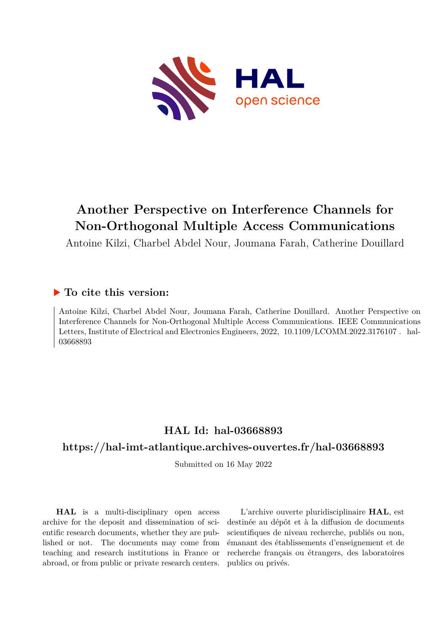

## **Another Perspective on Interference Channels for Non-Orthogonal Multiple Access Communications**

Antoine Kilzi, Charbel Abdel Nour, Joumana Farah, Catherine Douillard

## **To cite this version:**

Antoine Kilzi, Charbel Abdel Nour, Joumana Farah, Catherine Douillard. Another Perspective on Interference Channels for Non-Orthogonal Multiple Access Communications. IEEE Communications Letters, Institute of Electrical and Electronics Engineers, 2022, 10.1109/LCOMM.2022.3176107. hal-03668893

## **HAL Id: hal-03668893**

### **<https://hal-imt-atlantique.archives-ouvertes.fr/hal-03668893>**

Submitted on 16 May 2022

**HAL** is a multi-disciplinary open access archive for the deposit and dissemination of scientific research documents, whether they are published or not. The documents may come from teaching and research institutions in France or abroad, or from public or private research centers.

L'archive ouverte pluridisciplinaire **HAL**, est destinée au dépôt et à la diffusion de documents scientifiques de niveau recherche, publiés ou non, émanant des établissements d'enseignement et de recherche français ou étrangers, des laboratoires publics ou privés.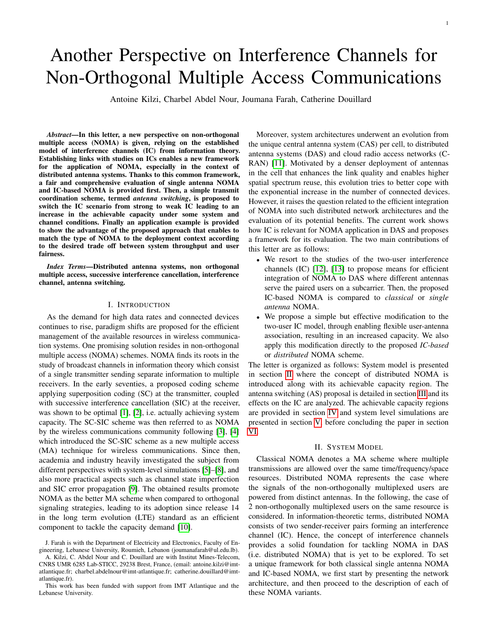# Another Perspective on Interference Channels for Non-Orthogonal Multiple Access Communications

Antoine Kilzi, Charbel Abdel Nour, Joumana Farah, Catherine Douillard

*Abstract*—In this letter, a new perspective on non-orthogonal multiple access (NOMA) is given, relying on the established model of interference channels (IC) from information theory. Establishing links with studies on ICs enables a new framework for the application of NOMA, especially in the context of distributed antenna systems. Thanks to this common framework, a fair and comprehensive evaluation of single antenna NOMA and IC-based NOMA is provided first. Then, a simple transmit coordination scheme, termed *antenna switching*, is proposed to switch the IC scenario from strong to weak IC leading to an increase in the achievable capacity under some system and channel conditions. Finally an application example is provided to show the advantage of the proposed approach that enables to match the type of NOMA to the deployment context according to the desired trade off between system throughput and user fairness.

*Index Terms*—Distributed antenna systems, non orthogonal multiple access, successive interference cancellation, interference channel, antenna switching.

#### I. INTRODUCTION

As the demand for high data rates and connected devices continues to rise, paradigm shifts are proposed for the efficient management of the available resources in wireless communication systems. One promising solution resides in non-orthogonal multiple access (NOMA) schemes. NOMA finds its roots in the study of broadcast channels in information theory which consist of a single transmitter sending separate information to multiple receivers. In the early seventies, a proposed coding scheme applying superposition coding (SC) at the transmitter, coupled with successive interference cancellation (SIC) at the receiver, was shown to be optimal [1], [2], i.e. actually achieving system capacity. The SC-SIC scheme was then referred to as NOMA by the wireless communications community following [3], [4] which introduced the SC-SIC scheme as a new multiple access (MA) technique for wireless communications. Since then, academia and industry heavily investigated the subject from different perspectives with system-level simulations [5]–[8], and also more practical aspects such as channel state imperfection and SIC error propagation [9]. The obtained results promote NOMA as the better MA scheme when compared to orthogonal signaling strategies, leading to its adoption since release 14 in the long term evolution (LTE) standard as an efficient component to tackle the capacity demand [10].

Moreover, system architectures underwent an evolution from the unique central antenna system (CAS) per cell, to distributed antenna systems (DAS) and cloud radio access networks (C-RAN) [11]. Motivated by a denser deployment of antennas in the cell that enhances the link quality and enables higher spatial spectrum reuse, this evolution tries to better cope with the exponential increase in the number of connected devices. However, it raises the question related to the efficient integration of NOMA into such distributed network architectures and the evaluation of its potential benefits. The current work shows how IC is relevant for NOMA application in DAS and proposes a framework for its evaluation. The two main contributions of this letter are as follows:

- We resort to the studies of the two-user interference channels (IC) [12], [13] to propose means for efficient integration of NOMA to DAS where different antennas serve the paired users on a subcarrier. Then, the proposed IC-based NOMA is compared to *classical* or *single antenna* NOMA.
- We propose a simple but effective modification to the two-user IC model, through enabling flexible user-antenna association, resulting in an increased capacity. We also apply this modification directly to the proposed *IC-based* or *distributed* NOMA scheme.

The letter is organized as follows: System model is presented in section II where the concept of distributed NOMA is introduced along with its achievable capacity region. The antenna switching (AS) proposal is detailed in section III and its effects on the IC are analyzed. The achievable capacity regions are provided in section IV and system level simulations are presented in section V, before concluding the paper in section VI.

#### II. SYSTEM MODEL

Classical NOMA denotes a MA scheme where multiple transmissions are allowed over the same time/frequency/space resources. Distributed NOMA represents the case where the signals of the non-orthogonally multiplexed users are powered from distinct antennas. In the following, the case of 2 non-orthogonally multiplexed users on the same resource is considered. In information-theoretic terms, distributed NOMA consists of two sender-receiver pairs forming an interference channel (IC). Hence, the concept of interference channels provides a solid foundation for tackling NOMA in DAS (i.e. distributed NOMA) that is yet to be explored. To set a unique framework for both classical single antenna NOMA and IC-based NOMA, we first start by presenting the network architecture, and then proceed to the description of each of these NOMA variants.

J. Farah is with the Department of Electricity and Electronics, Faculty of Engineering, Lebanese University, Roumieh, Lebanon (joumanafarah@ul.edu.lb).

A. Kilzi, C. Abdel Nour and C. Douillard are with Institut Mines-Telecom, CNRS UMR 6285 Lab-STICC, 29238 Brest, France, (email: antoine.kilzi@imtatlantique.fr; charbel.abdelnour@imt-atlantique.fr; catherine.douillard@imtatlantique.fr).

This work has been funded with support from IMT Atlantique and the Lebanese University.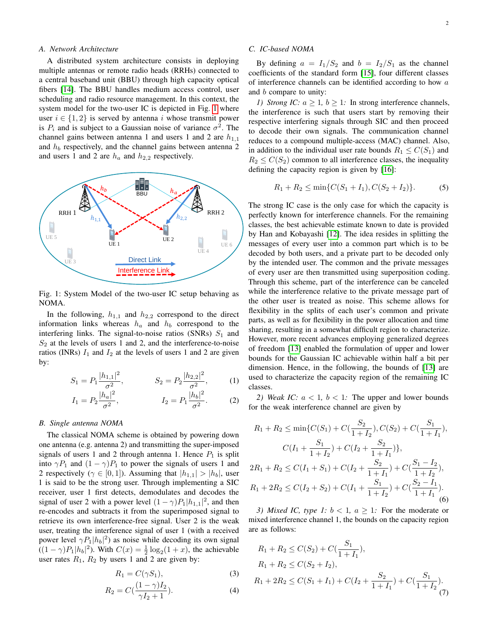#### *A. Network Architecture*

A distributed system architecture consists in deploying multiple antennas or remote radio heads (RRHs) connected to a central baseband unit (BBU) through high capacity optical fibers [14]. The BBU handles medium access control, user scheduling and radio resource management. In this context, the system model for the two-user IC is depicted in Fig. 1 where user  $i \in \{1, 2\}$  is served by antenna i whose transmit power is  $P_i$  and is subject to a Gaussian noise of variance  $\sigma^2$ . The channel gains between antenna 1 and users 1 and 2 are  $h_{1,1}$ and  $h_b$  respectively, and the channel gains between antenna 2 and users 1 and 2 are  $h_a$  and  $h_{2,2}$  respectively.



Fig. 1: System Model of the two-user IC setup behaving as NOMA.

In the following,  $h_{1,1}$  and  $h_{2,2}$  correspond to the direct information links whereas  $h_a$  and  $h_b$  correspond to the interfering links. The signal-to-noise ratios (SNRs)  $S_1$  and  $S_2$  at the levels of users 1 and 2, and the interference-to-noise ratios (INRs)  $I_1$  and  $I_2$  at the levels of users 1 and 2 are given by:

$$
S_1 = P_1 \frac{|h_{1,1}|^2}{\sigma^2}, \qquad S_2 = P_2 \frac{|h_{2,2}|^2}{\sigma^2}, \qquad (1)
$$

$$
I_1 = P_2 \frac{|h_a|^2}{\sigma^2}, \qquad I_2 = P_1 \frac{|h_b|^2}{\sigma^2}.
$$
 (2)

#### *B. Single antenna NOMA*

The classical NOMA scheme is obtained by powering down one antenna (e.g. antenna 2) and transmitting the super-imposed signals of users 1 and 2 through antenna 1. Hence  $P_1$  is split into  $\gamma P_1$  and  $(1 - \gamma)P_1$  to power the signals of users 1 and 2 respectively ( $\gamma \in [0, 1]$ ). Assuming that  $|h_{1,1}| > |h_b|$ , user 1 is said to be the strong user. Through implementing a SIC receiver, user 1 first detects, demodulates and decodes the signal of user 2 with a power level  $(1 - \gamma)P_1|h_{1,1}|^2$ , and then re-encodes and subtracts it from the superimposed signal to retrieve its own interference-free signal. User 2 is the weak user, treating the interference signal of user 1 (with a received power level  $\gamma P_1 |h_b|^2$ ) as noise while decoding its own signal  $((1 - \gamma)P_1|h_b|^2)$ . With  $C(x) = \frac{1}{2}\log_2(1+x)$ , the achievable user rates  $R_1$ ,  $R_2$  by users 1 and 2 are given by:

$$
R_1 = C(\gamma S_1),\tag{3}
$$

$$
R_2 = C\left(\frac{(1-\gamma)I_2}{\gamma I_2 + 1}\right).
$$
 (4)

#### *C. IC-based NOMA*

By defining  $a = I_1/S_2$  and  $b = I_2/S_1$  as the channel coefficients of the standard form [15], four different classes of interference channels can be identified according to how  $a$ and b compare to unity:

*1)* Strong *IC:*  $a > 1$ ,  $b > 1$ : In strong interference channels, the interference is such that users start by removing their respective interfering signals through SIC and then proceed to decode their own signals. The communication channel reduces to a compound multiple-access (MAC) channel. Also, in addition to the individual user rate bounds  $R_1 \leq C(S_1)$  and  $R_2 \leq C(S_2)$  common to all interference classes, the inequality defining the capacity region is given by [16]:

$$
R_1 + R_2 \le \min\{C(S_1 + I_1), C(S_2 + I_2)\}.
$$
 (5)

The strong IC case is the only case for which the capacity is perfectly known for interference channels. For the remaining classes, the best achievable estimate known to date is provided by Han and Kobayashi [12]. The idea resides in splitting the messages of every user into a common part which is to be decoded by both users, and a private part to be decoded only by the intended user. The common and the private messages of every user are then transmitted using superposition coding. Through this scheme, part of the interference can be canceled while the interference relative to the private message part of the other user is treated as noise. This scheme allows for flexibility in the splits of each user's common and private parts, as well as for flexibility in the power allocation and time sharing, resulting in a somewhat difficult region to characterize. However, more recent advances employing generalized degrees of freedom [13] enabled the formulation of upper and lower bounds for the Gaussian IC achievable within half a bit per dimension. Hence, in the following, the bounds of [13] are used to characterize the capacity region of the remaining IC classes.

2) Weak IC:  $a < 1$ ,  $b < 1$ . The upper and lower bounds for the weak interference channel are given by

$$
R_1 + R_2 \le \min\{C(S_1) + C(\frac{S_2}{1+I_2}), C(S_2) + C(\frac{S_1}{1+I_1}),
$$
  
\n
$$
C(I_1 + \frac{S_1}{1+I_2}) + C(I_2 + \frac{S_2}{1+I_1})\},
$$
  
\n
$$
2R_1 + R_2 \le C(I_1 + S_1) + C(I_2 + \frac{S_2}{1+I_1}) + C(\frac{S_1 - I_2}{1+I_2}),
$$
  
\n
$$
R_1 + 2R_2 \le C(I_2 + S_2) + C(I_1 + \frac{S_1}{1+I_2}) + C(\frac{S_2 - I_1}{1+I_1}).
$$
  
\n(6)

*3) Mixed IC, type 1:*  $b < 1$ ,  $a \ge 1$ : For the moderate or mixed interference channel 1, the bounds on the capacity region are as follows:

$$
R_1 + R_2 \le C(S_2) + C(\frac{S_1}{1+I_1}),
$$
  
\n
$$
R_1 + R_2 \le C(S_2 + I_2),
$$
  
\n
$$
R_1 + 2R_2 \le C(S_1 + I_1) + C(I_2 + \frac{S_2}{1+I_1}) + C(\frac{S_1}{1+I_2}).
$$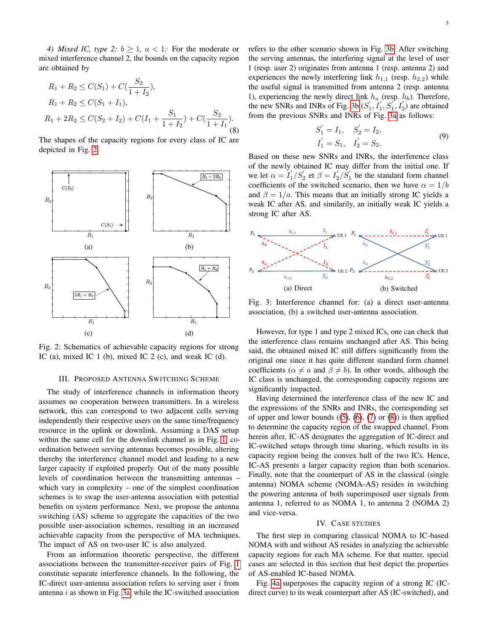*4) Mixed IC, type 2:*  $b > 1$ ,  $a < 1$ : For the moderate or mixed interference channel 2, the bounds on the capacity region are obtained by

$$
R_1 + R_2 \le C(S_1) + C(\frac{S_2}{1+I_2}),
$$
  
\n
$$
R_1 + R_2 \le C(S_1 + I_1),
$$
  
\n
$$
R_1 + 2R_2 \le C(S_2 + I_2) + C(I_1 + \frac{S_1}{1+I_2}) + C(\frac{S_2}{1+I_1}).
$$
  
\n(8)

The shapes of the capacity regions for every class of IC are depicted in Fig. 2.



Fig. 2: Schematics of achievable capacity regions for strong IC (a), mixed IC 1 (b), mixed IC 2 (c), and weak IC (d).

#### III. PROPOSED ANTENNA SWITCHING SCHEME

The study of interference channels in information theory assumes no cooperation between transmitters. In a wireless network, this can correspond to two adjacent cells serving independently their respective users on the same time/frequency resource in the uplink or downlink. Assuming a DAS setup within the same cell for the downlink channel as in Fig. 1, coordination between serving antennas becomes possible, altering thereby the interference channel model and leading to a new larger capacity if exploited properly. Out of the many possible levels of coordination between the transmitting antennas – which vary in complexity – one of the simplest coordination schemes is to swap the user-antenna association with potential benefits on system performance. Next, we propose the antenna switching (AS) scheme to aggregate the capacities of the two possible user-association schemes, resulting in an increased achievable capacity from the perspective of MA techniques. The impact of AS on two-user IC is also analyzed.

From an information theoretic perspective, the different associations between the transmitter-receiver pairs of Fig. 1 constitute separate interference channels. In the following, the IC-direct user-antenna association refers to serving user  $i$  from antenna  $i$  as shown in Fig. 3a, while the IC-switched association refers to the other scenario shown in Fig. 3b. After switching the serving antennas, the interfering signal at the level of user 1 (resp. user 2) originates from antenna 1 (resp. antenna 2) and experiences the newly interfering link  $h_{1,1}$  (resp.  $h_{2,2}$ ) while the useful signal is transmitted from antenna 2 (resp. antenna 1), experiencing the newly direct link  $h_a$  (resp.  $h_b$ ). Therefore, the new SNRs and INRs of Fig. 3b  $(S'_1, I'_1, S'_1, I'_2)$  are obtained from the previous SNRs and INRs of Fig. 3a as follows:

$$
S'_1 = I_1, S'_2 = I_2,
$$
  
\n $I'_1 = S_1, I'_2 = S_2.$  (9)

Based on these new SNRs and INRs, the interference class of the newly obtained IC may differ from the initial one. If we let  $\alpha = I_1'/S_2'$  et  $\beta = I_2'/S_1'$  be the standard form channel coefficients of the switched scenario, then we have  $\alpha = 1/b$ and  $\beta = 1/a$ . This means that an initially strong IC yields a weak IC after AS, and similarily, an initially weak IC yields a strong IC after AS.



Fig. 3: Interference channel for: (a) a direct user-antenna association, (b) a switched user-antenna association.

However, for type 1 and type 2 mixed ICs, one can check that the interference class remains unchanged after AS. This being said, the obtained mixed IC still differs significantly from the original one since it has quite different standard form channel coefficients ( $\alpha \neq a$  and  $\beta \neq b$ ). In other words, although the IC class is unchanged, the corresponding capacity regions are significantly impacted.

Having determined the interference class of the new IC and the expressions of the SNRs and INRs, the corresponding set of upper and lower bounds  $((5), (6), (7)$  or  $(8)$ ) is then applied to determine the capacity region of the swapped channel. From herein after, IC-AS designates the aggregation of IC-direct and IC-switched setups through time sharing, which results in its capacity region being the convex hull of the two ICs. Hence, IC-AS presents a larger capacity region than both scenarios. Finally, note that the counterpart of AS in the classical (single antenna) NOMA scheme (NOMA-AS) resides in switching the powering antenna of both superimposed user signals from antenna 1, referred to as NOMA 1, to antenna 2 (NOMA 2) and vice-versa.

#### IV. CASE STUDIES

The first step in comparing classical NOMA to IC-based NOMA with and without AS resides in analyzing the achievable capacity regions for each MA scheme. For that matter, special cases are selected in this section that best depict the properties of AS-enabled IC-based NOMA.

Fig. 4a superposes the capacity region of a strong IC (ICdirect curve) to its weak counterpart after AS (IC-switched), and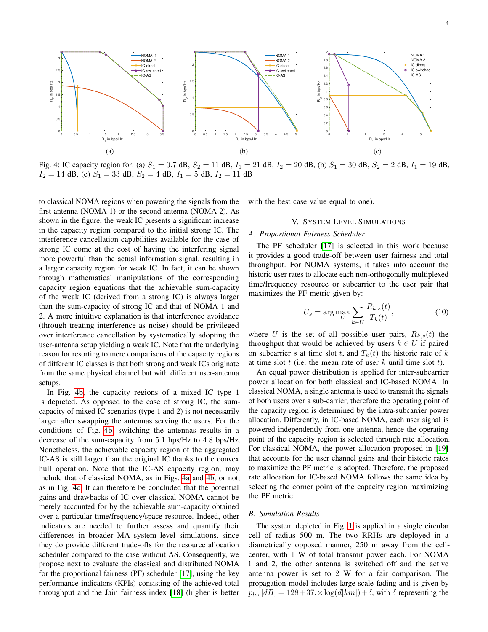

Fig. 4: IC capacity region for: (a)  $S_1 = 0.7$  dB,  $S_2 = 11$  dB,  $I_1 = 21$  dB,  $I_2 = 20$  dB, (b)  $S_1 = 30$  dB,  $S_2 = 2$  dB,  $I_1 = 19$  dB,  $I_2 = 14$  dB, (c)  $S_1 = 33$  dB,  $S_2 = 4$  dB,  $I_1 = 5$  dB,  $I_2 = 11$  dB

to classical NOMA regions when powering the signals from the first antenna (NOMA 1) or the second antenna (NOMA 2). As shown in the figure, the weak IC presents a significant increase in the capacity region compared to the initial strong IC. The interference cancellation capabilities available for the case of strong IC come at the cost of having the interfering signal more powerful than the actual information signal, resulting in a larger capacity region for weak IC. In fact, it can be shown through mathematical manipulations of the corresponding capacity region equations that the achievable sum-capacity of the weak IC (derived from a strong IC) is always larger than the sum-capacity of strong IC and that of NOMA 1 and 2. A more intuitive explanation is that interference avoidance (through treating interference as noise) should be privileged over interference cancellation by systematically adopting the user-antenna setup yielding a weak IC. Note that the underlying reason for resorting to mere comparisons of the capacity regions of different IC classes is that both strong and weak ICs originate from the same physical channel but with different user-antenna setups.

In Fig. 4b, the capacity regions of a mixed IC type 1 is depicted. As opposed to the case of strong IC, the sumcapacity of mixed IC scenarios (type 1 and 2) is not necessarily larger after swapping the antennas serving the users. For the conditions of Fig. 4b, switching the antennas results in a decrease of the sum-capacity from 5.1 bps/Hz to 4.8 bps/Hz. Nonetheless, the achievable capacity region of the aggregated IC-AS is still larger than the original IC thanks to the convex hull operation. Note that the IC-AS capacity region, may include that of classical NOMA, as in Figs. 4a and 4b, or not, as in Fig. 4c. It can therefore be concluded that the potential gains and drawbacks of IC over classical NOMA cannot be merely accounted for by the achievable sum-capacity obtained over a particular time/frequency/space resource. Indeed, other indicators are needed to further assess and quantify their differences in broader MA system level simulations, since they do provide different trade-offs for the resource allocation scheduler compared to the case without AS. Consequently, we propose next to evaluate the classical and distributed NOMA for the proportional fairness (PF) scheduler [17], using the key performance indicators (KPIs) consisting of the achieved total throughput and the Jain fairness index [18] (higher is better

with the best case value equal to one).

#### V. SYSTEM LEVEL SIMULATIONS

#### *A. Proportional Fairness Scheduler*

The PF scheduler [17] is selected in this work because it provides a good trade-off between user fairness and total throughput. For NOMA systems, it takes into account the historic user rates to allocate each non-orthogonally multiplexed time/frequency resource or subcarrier to the user pair that maximizes the PF metric given by:

$$
U_s = \arg\max_{U} \sum_{k \in U} \frac{R_{k,s}(t)}{T_k(t)},\tag{10}
$$

where U is the set of all possible user pairs,  $R_{k,s}(t)$  the throughput that would be achieved by users  $k \in U$  if paired on subcarrier s at time slot t, and  $T_k(t)$  the historic rate of k at time slot  $t$  (i.e. the mean rate of user  $k$  until time slot  $t$ ).

An equal power distribution is applied for inter-subcarrier power allocation for both classical and IC-based NOMA. In classical NOMA, a single antenna is used to transmit the signals of both users over a sub-carrier, therefore the operating point of the capacity region is determined by the intra-subcarrier power allocation. Differently, in IC-based NOMA, each user signal is powered independently from one antenna, hence the operating point of the capacity region is selected through rate allocation. For classical NOMA, the power allocation proposed in [19] that accounts for the user channel gains and their historic rates to maximize the PF metric is adopted. Therefore, the proposed rate allocation for IC-based NOMA follows the same idea by selecting the corner point of the capacity region maximizing the PF metric.

#### *B. Simulation Results*

The system depicted in Fig. 1 is applied in a single circular cell of radius 500 m. The two RRHs are deployed in a diametrically opposed manner, 250 m away from the cellcenter, with 1 W of total transmit power each. For NOMA 1 and 2, the other antenna is switched off and the active antenna power is set to 2 W for a fair comparison. The propagation model includes large-scale fading and is given by  $p_{los}[dB] = 128 + 37 \times \log(d[km]) + \delta$ , with  $\delta$  representing the